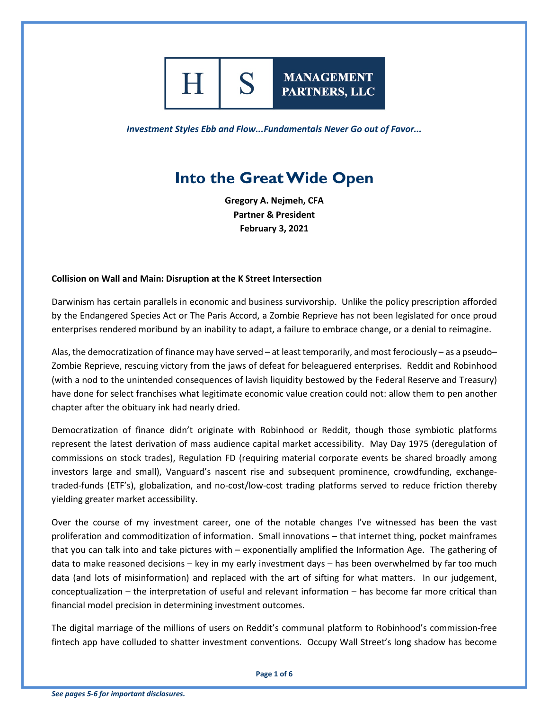

*Investment Styles Ebb and Flow...Fundamentals Never Go out of Favor...*

**MANAGEMENT** 

PARTNERS, LLC

# **Into the Great Wide Open**

**Gregory A. Nejmeh, CFA Partner & President February 3, 2021**

#### **Collision on Wall and Main: Disruption at the K Street Intersection**

Darwinism has certain parallels in economic and business survivorship. Unlike the policy prescription afforded by the Endangered Species Act or The Paris Accord, a Zombie Reprieve has not been legislated for once proud enterprises rendered moribund by an inability to adapt, a failure to embrace change, or a denial to reimagine.

Alas, the democratization of finance may have served – at least temporarily, and most ferociously – as a pseudo– Zombie Reprieve, rescuing victory from the jaws of defeat for beleaguered enterprises. Reddit and Robinhood (with a nod to the unintended consequences of lavish liquidity bestowed by the Federal Reserve and Treasury) have done for select franchises what legitimate economic value creation could not: allow them to pen another chapter after the obituary ink had nearly dried.

Democratization of finance didn't originate with Robinhood or Reddit, though those symbiotic platforms represent the latest derivation of mass audience capital market accessibility. May Day 1975 (deregulation of commissions on stock trades), Regulation FD (requiring material corporate events be shared broadly among investors large and small), Vanguard's nascent rise and subsequent prominence, crowdfunding, exchangetraded-funds (ETF's), globalization, and no-cost/low-cost trading platforms served to reduce friction thereby yielding greater market accessibility.

Over the course of my investment career, one of the notable changes I've witnessed has been the vast proliferation and commoditization of information. Small innovations – that internet thing, pocket mainframes that you can talk into and take pictures with – exponentially amplified the Information Age. The gathering of data to make reasoned decisions – key in my early investment days – has been overwhelmed by far too much data (and lots of misinformation) and replaced with the art of sifting for what matters. In our judgement, conceptualization – the interpretation of useful and relevant information – has become far more critical than financial model precision in determining investment outcomes.

The digital marriage of the millions of users on Reddit's communal platform to Robinhood's commission-free fintech app have colluded to shatter investment conventions. Occupy Wall Street's long shadow has become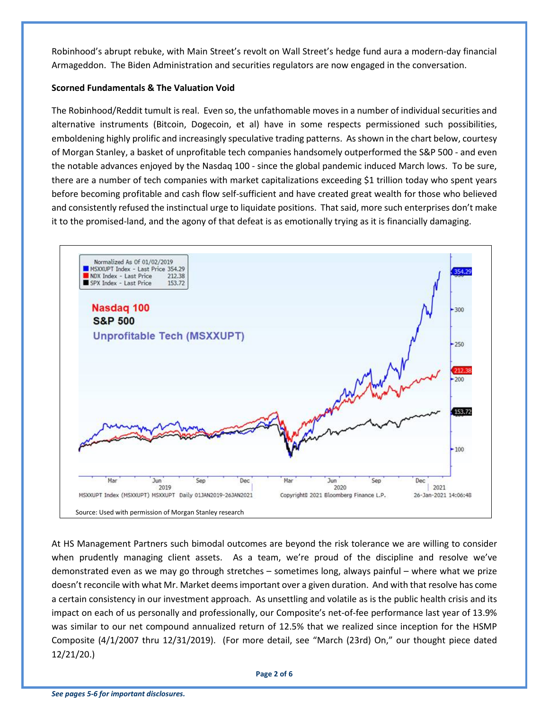Robinhood's abrupt rebuke, with Main Street's revolt on Wall Street's hedge fund aura a modern-day financial Armageddon. The Biden Administration and securities regulators are now engaged in the conversation.

# **Scorned Fundamentals & The Valuation Void**

The Robinhood/Reddit tumult is real. Even so, the unfathomable moves in a number of individual securities and alternative instruments (Bitcoin, Dogecoin, et al) have in some respects permissioned such possibilities, emboldening highly prolific and increasingly speculative trading patterns. As shown in the chart below, courtesy of Morgan Stanley, a basket of unprofitable tech companies handsomely outperformed the S&P 500 - and even the notable advances enjoyed by the Nasdaq 100 - since the global pandemic induced March lows. To be sure, there are a number of tech companies with market capitalizations exceeding \$1 trillion today who spent years before becoming profitable and cash flow self-sufficient and have created great wealth for those who believed and consistently refused the instinctual urge to liquidate positions. That said, more such enterprises don't make it to the promised-land, and the agony of that defeat is as emotionally trying as it is financially damaging.



At HS Management Partners such bimodal outcomes are beyond the risk tolerance we are willing to consider when prudently managing client assets. As a team, we're proud of the discipline and resolve we've demonstrated even as we may go through stretches – sometimes long, always painful – where what we prize doesn't reconcile with what Mr. Market deems important over a given duration. And with that resolve has come a certain consistency in our investment approach. As unsettling and volatile as is the public health crisis and its impact on each of us personally and professionally, our Composite's net-of-fee performance last year of 13.9% was similar to our net compound annualized return of 12.5% that we realized since inception for the HSMP Composite (4/1/2007 thru 12/31/2019). (For more detail, see "March (23rd) On," our thought piece dated 12/21/20.)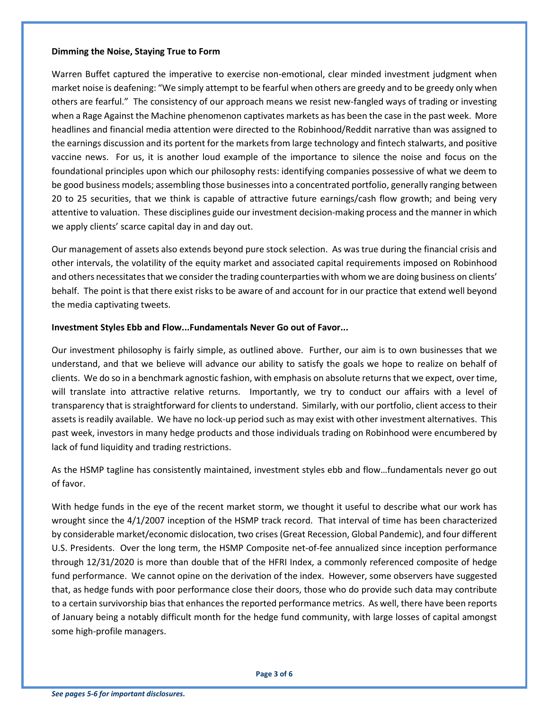### **Dimming the Noise, Staying True to Form**

Warren Buffet captured the imperative to exercise non-emotional, clear minded investment judgment when market noise is deafening: "We simply attempt to be fearful when others are greedy and to be greedy only when others are fearful." The consistency of our approach means we resist new-fangled ways of trading or investing when a Rage Against the Machine phenomenon captivates markets as has been the case in the past week. More headlines and financial media attention were directed to the Robinhood/Reddit narrative than was assigned to the earnings discussion and its portent for the markets from large technology and fintech stalwarts, and positive vaccine news. For us, it is another loud example of the importance to silence the noise and focus on the foundational principles upon which our philosophy rests: identifying companies possessive of what we deem to be good business models; assembling those businesses into a concentrated portfolio, generally ranging between 20 to 25 securities, that we think is capable of attractive future earnings/cash flow growth; and being very attentive to valuation. These disciplines guide our investment decision-making process and the manner in which we apply clients' scarce capital day in and day out.

Our management of assets also extends beyond pure stock selection. As was true during the financial crisis and other intervals, the volatility of the equity market and associated capital requirements imposed on Robinhood and others necessitates that we consider the trading counterparties with whom we are doing business on clients' behalf. The point is that there exist risks to be aware of and account for in our practice that extend well beyond the media captivating tweets.

### **Investment Styles Ebb and Flow...Fundamentals Never Go out of Favor...**

Our investment philosophy is fairly simple, as outlined above. Further, our aim is to own businesses that we understand, and that we believe will advance our ability to satisfy the goals we hope to realize on behalf of clients. We do so in a benchmark agnostic fashion, with emphasis on absolute returns that we expect, over time, will translate into attractive relative returns. Importantly, we try to conduct our affairs with a level of transparency that is straightforward for clients to understand. Similarly, with our portfolio, client access to their assets is readily available. We have no lock-up period such as may exist with other investment alternatives. This past week, investors in many hedge products and those individuals trading on Robinhood were encumbered by lack of fund liquidity and trading restrictions.

As the HSMP tagline has consistently maintained, investment styles ebb and flow…fundamentals never go out of favor.

With hedge funds in the eye of the recent market storm, we thought it useful to describe what our work has wrought since the 4/1/2007 inception of the HSMP track record. That interval of time has been characterized by considerable market/economic dislocation, two crises (Great Recession, Global Pandemic), and four different U.S. Presidents. Over the long term, the HSMP Composite net-of-fee annualized since inception performance through 12/31/2020 is more than double that of the HFRI Index, a commonly referenced composite of hedge fund performance. We cannot opine on the derivation of the index. However, some observers have suggested that, as hedge funds with poor performance close their doors, those who do provide such data may contribute to a certain survivorship bias that enhances the reported performance metrics. As well, there have been reports of January being a notably difficult month for the hedge fund community, with large losses of capital amongst some high-profile managers.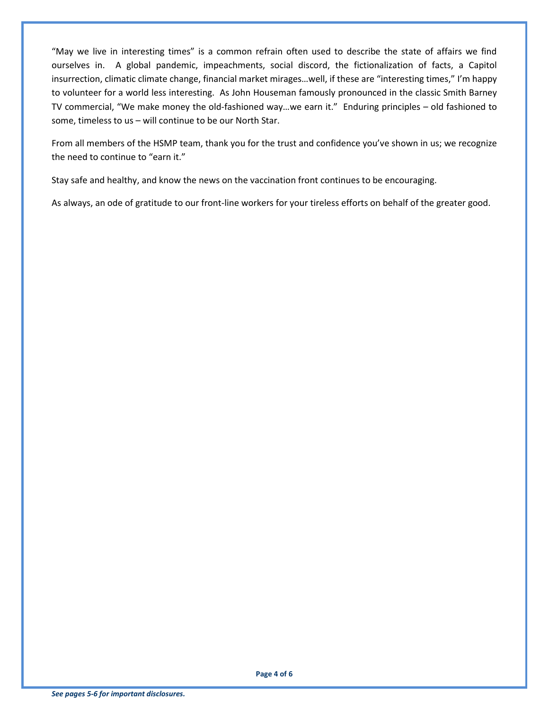"May we live in interesting times" is a common refrain often used to describe the state of affairs we find ourselves in. A global pandemic, impeachments, social discord, the fictionalization of facts, a Capitol insurrection, climatic climate change, financial market mirages…well, if these are "interesting times," I'm happy to volunteer for a world less interesting. As John Houseman famously pronounced in the classic Smith Barney TV commercial, "We make money the old-fashioned way…we earn it." Enduring principles – old fashioned to some, timeless to us – will continue to be our North Star.

From all members of the HSMP team, thank you for the trust and confidence you've shown in us; we recognize the need to continue to "earn it."

Stay safe and healthy, and know the news on the vaccination front continues to be encouraging.

As always, an ode of gratitude to our front-line workers for your tireless efforts on behalf of the greater good.

**Page 4 of 6**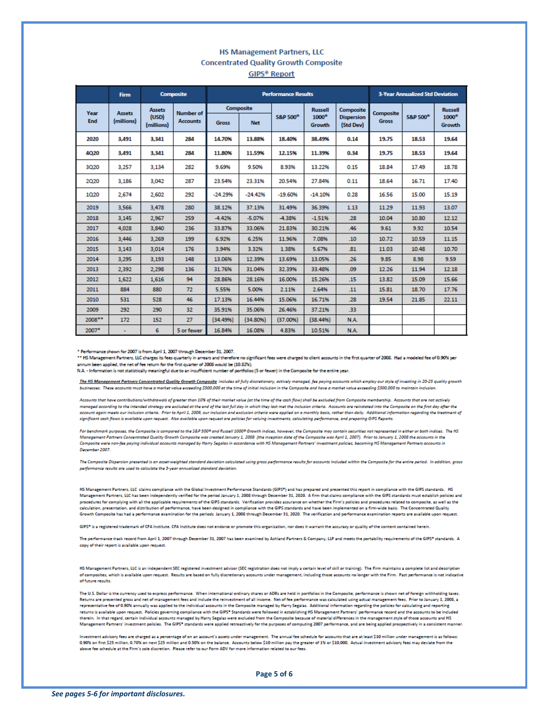## **HS Management Partners, LLC Concentrated Quality Growth Composite GIPS<sup>®</sup> Report**

|             | <b>Firm</b>                 | <b>Composite</b>                     |                                     | <b>Performance Results</b> |            |                     |                        |                                | <b>3-Year Annualized Std Deviation</b> |                     |                        |
|-------------|-----------------------------|--------------------------------------|-------------------------------------|----------------------------|------------|---------------------|------------------------|--------------------------------|----------------------------------------|---------------------|------------------------|
| Year<br>End | <b>Assets</b><br>(millions) | <b>Assets</b><br>(USD)<br>(millions) | <b>Number of</b><br><b>Accounts</b> | Composite                  |            |                     | <b>Russell</b>         | Composite                      | Composite                              |                     | <b>Russell</b>         |
|             |                             |                                      |                                     | <b>Gross</b>               | <b>Net</b> | <b>S&amp;P 500°</b> | $1000^\circ$<br>Growth | <b>Dispersion</b><br>(Std Dev) | <b>Gross</b>                           | <b>S&amp;P 500°</b> | $1000^\circ$<br>Growth |
| 2020        | 3.491                       | 3.341                                | 284                                 | 14,70%                     | 13,88%     | 18,40%              | 38,49%                 | 0.14                           | 19.75                                  | 18,53               | 19.64                  |
| 4020        | 3.491                       | 3.341                                | 284                                 | 11.80%                     | 11.59%     | 12.15%              | 11.39%                 | 0.34                           | 19.75                                  | 18.53               | 19.64                  |
| 3020        | 3,257                       | 3.134                                | 282                                 | 9.69%                      | 9.50%      | 8.93%               | 13.22%                 | 0.15                           | 18.84                                  | 17.49               | 18.78                  |
| 2020        | 3.186                       | 3.042                                | 287                                 | 23.54%                     | 23.31%     | 20.54%              | 27.84%                 | 0.11                           | 18.64                                  | 16.71               | 17.40                  |
| 1020        | 2,674                       | 2,602                                | 292                                 | $-24.29%$                  | $-24.42%$  | $-19.60%$           | $-14.10%$              | 0.28                           | 16.56                                  | 15.00               | 15.19                  |
| 2019        | 3,566                       | 3.478                                | 280                                 | 38.12%                     | 37.13%     | 31.49%              | 36.39%                 | 1.13                           | 11.29                                  | 11.93               | 13.07                  |
| 2018        | 3.145                       | 2.967                                | 259                                 | $-4.42%$                   | $-5.07%$   | -4.38%              | $-1.51%$               | .28                            | 10.04                                  | 10.80               | 12.12                  |
| 2017        | 4,028                       | 3,840                                | 236                                 | 33.87%                     | 33.06%     | 21.83%              | 30.21%                 | .46                            | 9.61                                   | 9.92                | 10.54                  |
| 2016        | 3,446                       | 3,269                                | 199                                 | 6.92%                      | 6.25%      | 11.96%              | 7.08%                  | .10                            | 10.72                                  | 10.59               | 11.15                  |
| 2015        | 3.143                       | 3,014                                | 176                                 | 3.94%                      | 3.32%      | 1.38%               | 5.67%                  | .81                            | 11.03                                  | 10.48               | 10.70                  |
| 2014        | 3,295                       | 3,193                                | 148                                 | 13.06%                     | 12.39%     | 13.69%              | 13.05%                 | .26                            | 9.85                                   | 8.98                | 9.59                   |
| 2013        | 2,392                       | 2,298                                | 136                                 | 31.76%                     | 31.04%     | 32.39%              | 33.48%                 | .09                            | 12.26                                  | 11.94               | 12.18                  |
| 2012        | 1,622                       | 1,616                                | 94                                  | 28.86%                     | 28.16%     | 16.00%              | 15.26%                 | .15                            | 13.82                                  | 15.09               | 15.66                  |
| 2011        | 884                         | 880                                  | 72                                  | 5.55%                      | 5.00%      | 2.11%               | 2.64%                  | .11                            | 15.81                                  | 18.70               | 17.76                  |
| 2010        | 531                         | 528                                  | 46                                  | 17.13%                     | 16.44%     | 15.06%              | 16.71%                 | .28                            | 19.54                                  | 21.85               | 22.11                  |
| 2009        | 292                         | 290                                  | 32                                  | 35.91%                     | 35.06%     | 26.46%              | 37.21%                 | .33                            |                                        |                     |                        |
| 2008**      | 172                         | 152                                  | 27                                  | (34.49%)                   | (34.80%)   | (37.00%)            | (38.44%)               | N.A.                           |                                        |                     |                        |
| 2007*       |                             | 6                                    | 5 or fewer                          | 16.84%                     | 16.08%     | 4.83%               | 10.51%                 | N.A.                           |                                        |                     |                        |

\* Performance shown for 2007 is from April 1, 2007 through December 31, 2007.

\*\* HS Management Partners, LLC charges its fees quarterly in arrears and therefore no significant fees were charged to client accounts in the first quarter of 2008. Had a modeled fee of 0.90% per nnum been applied, the net of fee return for the first quarter of 2008 would be (10.82%)

N.A. - Information is not statistically meaningful due to an insufficient number of portfolios (5 or fewer) in the Composite for the entire year.

The HS Management Partners Concentrated Quality Growth Composite includes all fully discretionary, actively managed, fee paying accounts which employ our style of investing in 20-25 quality growth businesses. These accounts must have a market value exceeding \$500,000 at the time of initial inclusion in the Composite and have a market value exceeding \$300,000 to maintain inclusio

Accounts that have contributions/withdrawals of greater than 10% of their market value (at the time of the cash flow) shall be excluded from Composite membership. Accounts that are not actively managed according to the intended strategy are excluded at the end of the last full day in which they last met the inclusion criteria. Accounts are reinstated into the Composite on the first day after the<br>account again mee significant cash flows is available upon request. Also available upon request are policies for valuing investments, calculating performance, and preparing GIPS Reports.

For benchmark purposes, the Composite is compared to the S&P 500° and Russell 1000° Growth indices, however, the Composite may contain securities not represented in either or both indices. The HS Management Partners Concentrated Quality Growth Composite was created January 1, 2008 (the inception date of the Composite was April 1, 2007). Prior to January 1, 2008 the accounts in the numerations resumed and community and the state of the state of the second state of the second state of the state of the state of the state of the state of the state of the state of the state of the state of the state of t December 2007

The Composite Dispersion presented is an asset-weighted standard deviation calculated using gross performance results for accounts included within the Composite for the entire period. In addition, gross performance results are used to calculate the 3-year annualized standard deviation

HS Management Partners, LLC claims compliance with the Global Investment Performance Standards (GIPS\*) and has prepared and presented this report in compliance with the GIPS standards. HS<br>Management Partners, LLC has been procedures for complying with all the applicable requirements of the GIPS standards. Verification provides assurance on whether the Firm's policies and procedures related to composite, as well as the calculation, presentation, and distribution of performance, have been designed in compliance with the GIPS standards and have been implemented on a firm-wide basis. The Concentrated Quality Growth Composite has had a performance examination for the periods January 1, 2008 through December 31, 2020. The verification and performance examination reports are available upon request.

GIPS\* is a registered trademark of CFA Institute. CFA Institute does not endorse or promote this organization, nor does it warrant the accuracy or quality of the content contained herein

The performance track record from April 1, 2007 through December 31, 2007 has been examined by Ashland Partners & Company, LLP and meets the portability requirements of the GIPS\* standards. A copy of their report is available upon request.

HS Management Partners, LLC is an independent SEC registered investment advisor (SEC registration does not imply a certain level of skill or training). The Firm maintains a complete list and descript of composites, which is available upon request. Results are based on fully discretionary accounts under management, including those accounts no longer with the Firm. Past performance is not indicative of future results.

The U.S. Dollar is the currency used to express performance. When international ordinary shares or ADRs are held in portfolios in the Composite, performance is shown net of foreign withholding taxes. Returns are presented gross and net of management fees and include the reinvestment of all income. Net of fee performance was calculated using actual management fees. Prior to January 1, 2008, a representative fee of 0.90% annually was applied to the individual accounts in the Composite managed by Harry Segalas. Additional information regarding the policies for calculating and reporting returns is available upon request. Policies governing compliance with the GIPS\* Standards were followed in establishing HS Management Partners' performance record and the accounts to be included<br>therein. In that regard, ce Management Partners' investment policies. The GIPS® standards were applied retroactively for the purposes of computing 2007 performance, and are being applied prospectively in a consistent manner.

vestment advisory fees are charged as a percentage of on an account's assets under management. The annual fee schedule for accounts that are at least \$10 million under management is as follows: 0.90% on first \$25 million, 0.70% on next \$25 million and 0.50% on the balance. Accounts below \$10 million pay the greater of 1% or \$10,000. Actual investment advisory fees may deviate from the above fee schedule at the Firm's sole discretion. Please refer to our Form ADV for more information related to our fees.